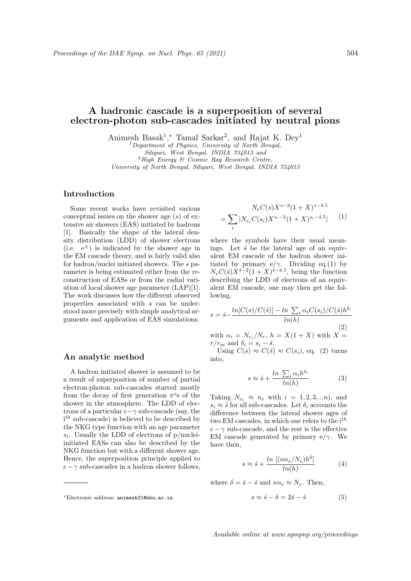# A hadronic cascade is a superposition of several electron-photon sub-cascades initiated by neutral pions

Animesh Basak<sup>1</sup>,\* Tamal Sarkar<sup>2</sup>, and Rajat K. Dey<sup>1</sup>

 $2$ High Energy & Cosmic Ray Research Centre,

University of North Bengal, Siliguri, West Bengal, INDIA 734013

# Introduction

Some recent works have revisited various conceptual issues on the shower age  $(s)$  of extensive air showers (EAS) initiated by hadrons [1]. Basically the shape of the lateral density distribution (LDD) of shower electrons (i.e.  $e^{\pm}$ ) is indicated by the shower age in the EM cascade theory, and is fairly valid also for hadron/nuclei initiated showers. The s parameter is being estimated either from the reconstruction of EASs or from the radial variation of local shower age parameter (LAP)[1]. The work discusses how the different observed properties associated with s can be understood more precisely with simple analytical arguments and application of EAS simulations.

### An analytic method

A hadron initiated shower is assumed to be a result of superposition of number of partial electron-photon sub-cascades started mostly from the decay of first generation  $\pi^o$ s of the shower in the atmosphere. The LDD of electrons of a particular  $e - \gamma$  sub-cascade (say, the  $i<sup>th</sup>$  sub-cascade) is believed to be described by the NKG type function with an age parameter  $s_i$ . Usually the LDD of electrons of p/nucleiinitiated EASs can also be described by the NKG function but with a different shower age. Hence, the superposition principle applied to  $e - \gamma$  sub-cascades in a hadron shower follows,

$$
N_e C(s) X^{s-2} (1+X)^{s-4.5}
$$
  
= 
$$
\sum_i |N_{e_i} C(s_i) X^{s_i-2} (1+X)^{s_i-4.5}|
$$
 (1)

where the symbols have their usual meanings. Let  $\acute{s}$  be the lateral age of an equivalent EM cascade of the hadron shower initiated by primary e/ $\gamma$ . Dividing eq.(1) by  $N_eC(\acute{s})X^{\acute{s}-2}(1+X)^{\acute{s}-4.5}$ , being the function describing the LDD of electrons of an equivalent EM cascade, one may then get the following,

$$
s = \acute{s} - \frac{\ln[C(s)/C(\acute{s})] - \ln\sum_{i}\alpha_{i}C(s_{i})/C(\acute{s})h^{\delta_{i}}}{\ln(h)}
$$

(2) with  $\alpha_i = N_{e_i}/N_e$ ,  $h = X(1+X)$  with  $X =$  $r/r_m$  and  $\delta_i = s_i - \dot{s}$ .

Using  $C(s) \approx C(s) \approx C(s_i)$ , eq. (2) turns into,

$$
s \approx \acute{s} + \frac{\ln \sum_{i} \alpha_{i} h^{\delta_{i}}}{\ln(h)}
$$
(3)

Taking  $N_{e_i} \approx n_e$  with  $i = 1, 2, 3...n$ , and  $s_i \approx \tilde{s}$  for all sub-cascades. Let  $\delta_i$  accounts the difference between the lateral shower ages of two EM cascades, in which one refers to the  $i^{th}$  $e - \gamma$  sub-cascade, and the rest is the effective EM cascade generated by primary e/ $\gamma$ . We have then,

$$
s \approx \acute{s} + \frac{\ln\left[ (n n_e / N_e) h^{\delta} \right]}{\ln(h)} \tag{4}
$$

where  $\delta = \tilde{s} - \dot{s}$  and  $nn_e \approx N_e$ . Then,

$$
s \approx \acute{s} - \delta = 2\acute{s} - \tilde{s} \tag{5}
$$

 $1$ Department of Physics, University of North Bengal, Siliguri, West Bengal, INDIA 734013 and

<sup>∗</sup>Electronic address: animesh21@nbu.ac.in